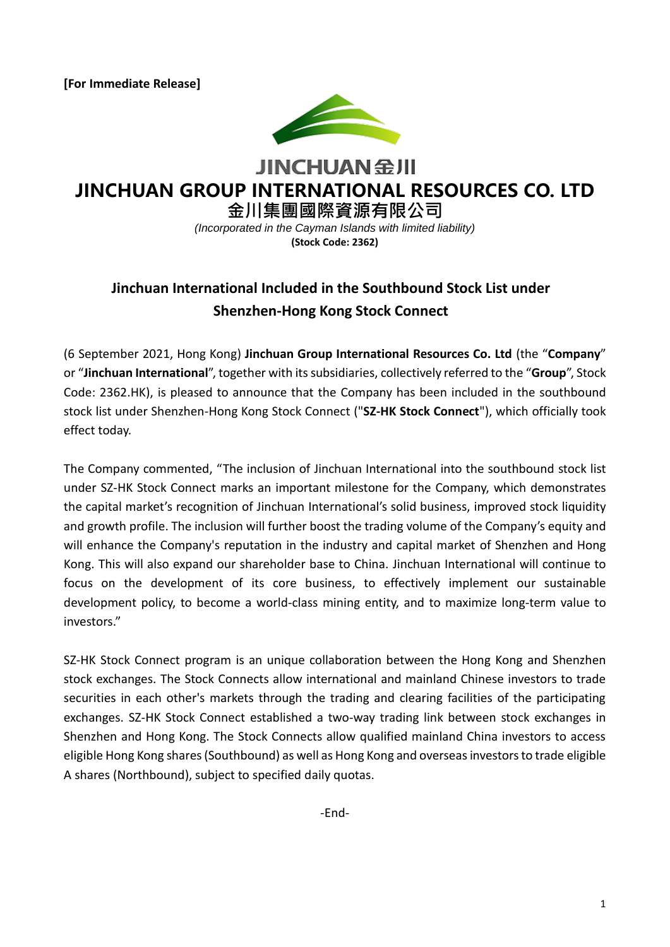**[For Immediate Release]**



**JINCHUAN 金川** 

# **JINCHUAN GROUP INTERNATIONAL RESOURCES CO. LTD**

**金川集團國際資源有限公司** *(Incorporated in the Cayman Islands with limited liability)*

**(Stock Code: 2362)**

## **Jinchuan International Included in the Southbound Stock List under Shenzhen-Hong Kong Stock Connect**

(6 September 2021, Hong Kong) **Jinchuan Group International Resources Co. Ltd** (the "**Company**" or "**Jinchuan International**", together with its subsidiaries, collectively referred to the "**Group**", Stock Code: 2362.HK), is pleased to announce that the Company has been included in the southbound stock list under Shenzhen-Hong Kong Stock Connect ("**SZ-HK Stock Connect**"), which officially took effect today.

The Company commented, "The inclusion of Jinchuan International into the southbound stock list under SZ-HK Stock Connect marks an important milestone for the Company, which demonstrates the capital market's recognition of Jinchuan International's solid business, improved stock liquidity and growth profile. The inclusion will further boost the trading volume of the Company's equity and will enhance the Company's reputation in the industry and capital market of Shenzhen and Hong Kong. This will also expand our shareholder base to China. Jinchuan International will continue to focus on the development of its core business, to effectively implement our sustainable development policy, to become a world-class mining entity, and to maximize long-term value to investors."

SZ-HK Stock Connect program is an unique collaboration between the Hong Kong and Shenzhen stock exchanges. The Stock Connects allow international and mainland Chinese investors to trade securities in each other's markets through the trading and clearing facilities of the participating exchanges. SZ-HK Stock Connect established a two-way trading link between stock exchanges in Shenzhen and Hong Kong. The Stock Connects allow qualified mainland China investors to access eligible Hong Kong shares (Southbound) as well as Hong Kong and overseas investors to trade eligible A shares (Northbound), subject to specified daily quotas.

-End-